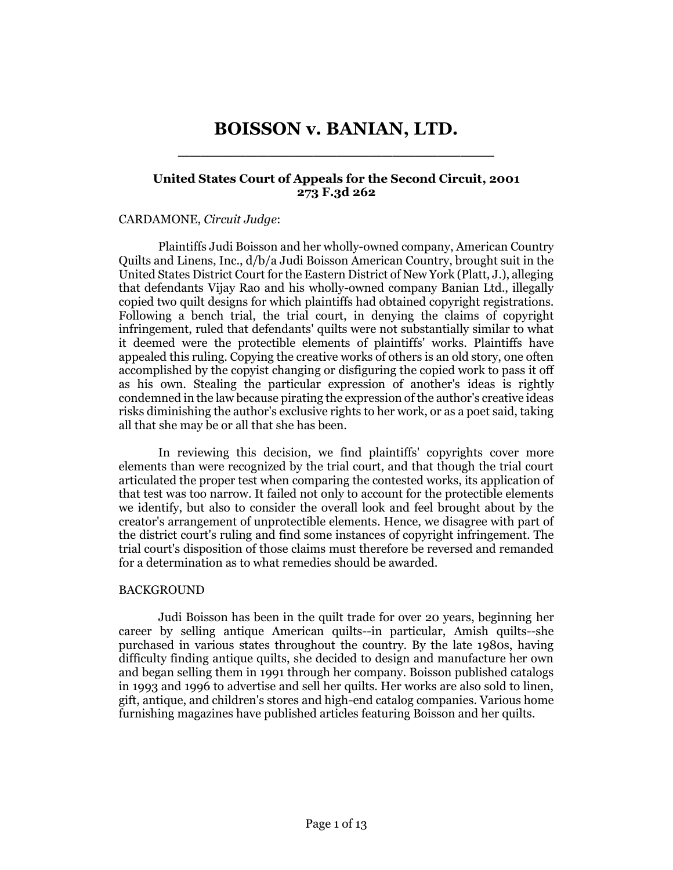# **BOISSON v. BANIAN, LTD.** \_\_\_\_\_\_\_\_\_\_\_\_\_\_\_\_\_\_\_\_\_\_\_\_\_\_\_\_

# **United States Court of Appeals for the Second Circuit, 2001 273 F.3d 262**

#### CARDAMONE, *Circuit Judge*:

Plaintiffs Judi Boisson and her wholly-owned company, American Country Quilts and Linens, Inc.,  $d/b/a$  Judi Boisson American Country, brought suit in the United States District Court for the Eastern District of New York (Platt, J.), alleging that defendants Vijay Rao and his wholly-owned company Banian Ltd., illegally copied two quilt designs for which plaintiffs had obtained copyright registrations. Following a bench trial, the trial court, in denying the claims of copyright infringement, ruled that defendants' quilts were not substantially similar to what it deemed were the protectible elements of plaintiffs' works. Plaintiffs have appealed this ruling. Copying the creative works of others is an old story, one often accomplished by the copyist changing or disfiguring the copied work to pass it off as his own. Stealing the particular expression of another's ideas is rightly condemned in the law because pirating the expression of the author's creative ideas risks diminishing the author's exclusive rights to her work, or as a poet said, taking all that she may be or all that she has been.

In reviewing this decision, we find plaintiffs' copyrights cover more elements than were recognized by the trial court, and that though the trial court articulated the proper test when comparing the contested works, its application of that test was too narrow. It failed not only to account for the protectible elements we identify, but also to consider the overall look and feel brought about by the creator's arrangement of unprotectible elements. Hence, we disagree with part of the district court's ruling and find some instances of copyright infringement. The trial court's disposition of those claims must therefore be reversed and remanded for a determination as to what remedies should be awarded.

#### BACKGROUND

Judi Boisson has been in the quilt trade for over 20 years, beginning her career by selling antique American quilts--in particular, Amish quilts--she purchased in various states throughout the country. By the late 1980s, having difficulty finding antique quilts, she decided to design and manufacture her own and began selling them in 1991 through her company. Boisson published catalogs in 1993 and 1996 to advertise and sell her quilts. Her works are also sold to linen, gift, antique, and children's stores and high-end catalog companies. Various home furnishing magazines have published articles featuring Boisson and her quilts.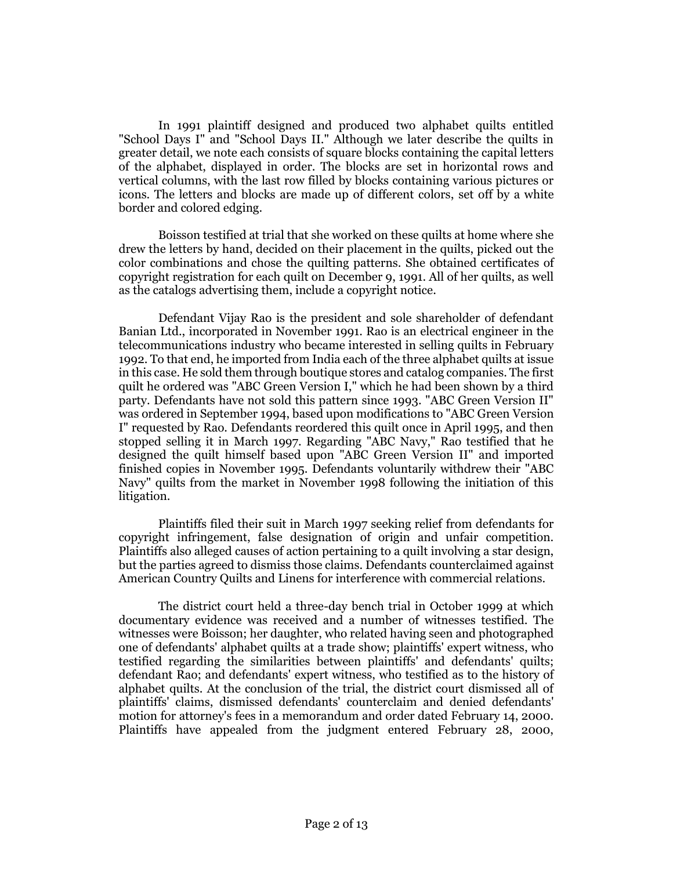In 1991 plaintiff designed and produced two alphabet quilts entitled "School Days I" and "School Days II." Although we later describe the quilts in greater detail, we note each consists of square blocks containing the capital letters of the alphabet, displayed in order. The blocks are set in horizontal rows and vertical columns, with the last row filled by blocks containing various pictures or icons. The letters and blocks are made up of different colors, set off by a white border and colored edging.

Boisson testified at trial that she worked on these quilts at home where she drew the letters by hand, decided on their placement in the quilts, picked out the color combinations and chose the quilting patterns. She obtained certificates of copyright registration for each quilt on December 9, 1991. All of her quilts, as well as the catalogs advertising them, include a copyright notice.

Defendant Vijay Rao is the president and sole shareholder of defendant Banian Ltd., incorporated in November 1991. Rao is an electrical engineer in the telecommunications industry who became interested in selling quilts in February 1992. To that end, he imported from India each of the three alphabet quilts at issue in this case. He sold them through boutique stores and catalog companies. The first quilt he ordered was "ABC Green Version I," which he had been shown by a third party. Defendants have not sold this pattern since 1993. "ABC Green Version II" was ordered in September 1994, based upon modifications to "ABC Green Version I" requested by Rao. Defendants reordered this quilt once in April 1995, and then stopped selling it in March 1997. Regarding "ABC Navy," Rao testified that he designed the quilt himself based upon "ABC Green Version II" and imported finished copies in November 1995. Defendants voluntarily withdrew their "ABC Navy" quilts from the market in November 1998 following the initiation of this litigation.

Plaintiffs filed their suit in March 1997 seeking relief from defendants for copyright infringement, false designation of origin and unfair competition. Plaintiffs also alleged causes of action pertaining to a quilt involving a star design, but the parties agreed to dismiss those claims. Defendants counterclaimed against American Country Quilts and Linens for interference with commercial relations.

The district court held a three-day bench trial in October 1999 at which documentary evidence was received and a number of witnesses testified. The witnesses were Boisson; her daughter, who related having seen and photographed one of defendants' alphabet quilts at a trade show; plaintiffs' expert witness, who testified regarding the similarities between plaintiffs' and defendants' quilts; defendant Rao; and defendants' expert witness, who testified as to the history of alphabet quilts. At the conclusion of the trial, the district court dismissed all of plaintiffs' claims, dismissed defendants' counterclaim and denied defendants' motion for attorney's fees in a memorandum and order dated February 14, 2000. Plaintiffs have appealed from the judgment entered February 28, 2000,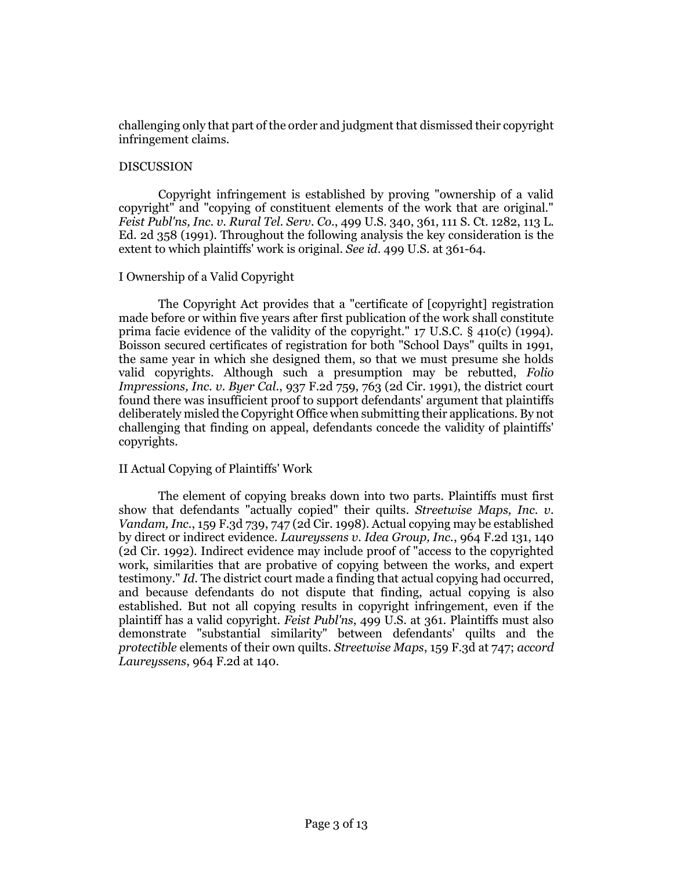challenging only that part of the order and judgment that dismissed their copyright infringement claims.

## **DISCUSSION**

Copyright infringement is established by proving "ownership of a valid copyright" and "copying of constituent elements of the work that are original." *Feist Publ'ns, Inc. v. Rural Tel. Serv. Co.*, 499 U.S. 340, 361, 111 S. Ct. 1282, 113 L. Ed. 2d 358 (1991). Throughout the following analysis the key consideration is the extent to which plaintiffs' work is original. *See id*. 499 U.S. at 361-64.

# I Ownership of a Valid Copyright

The Copyright Act provides that a "certificate of [copyright] registration made before or within five years after first publication of the work shall constitute prima facie evidence of the validity of the copyright." 17 U.S.C. § 410(c) (1994). Boisson secured certificates of registration for both "School Days" quilts in 1991, the same year in which she designed them, so that we must presume she holds valid copyrights. Although such a presumption may be rebutted, *Folio Impressions, Inc. v. Byer Cal.*, 937 F.2d 759, 763 (2d Cir. 1991), the district court found there was insufficient proof to support defendants' argument that plaintiffs deliberately misled the Copyright Office when submitting their applications. By not challenging that finding on appeal, defendants concede the validity of plaintiffs' copyrights.

# II Actual Copying of Plaintiffs' Work

The element of copying breaks down into two parts. Plaintiffs must first show that defendants "actually copied" their quilts. *Streetwise Maps, Inc. v. Vandam, Inc.*, 159 F.3d 739, 747 (2d Cir. 1998). Actual copying may be established by direct or indirect evidence. *Laureyssens v. Idea Group, Inc.*, 964 F.2d 131, 140 (2d Cir. 1992). Indirect evidence may include proof of "access to the copyrighted work, similarities that are probative of copying between the works, and expert testimony." *Id*. The district court made a finding that actual copying had occurred, and because defendants do not dispute that finding, actual copying is also established. But not all copying results in copyright infringement, even if the plaintiff has a valid copyright. *Feist Publ'ns*, 499 U.S. at 361. Plaintiffs must also demonstrate "substantial similarity" between defendants' quilts and the *protectible* elements of their own quilts. *Streetwise Maps*, 159 F.3d at 747; *accord Laureyssens*, 964 F.2d at 140.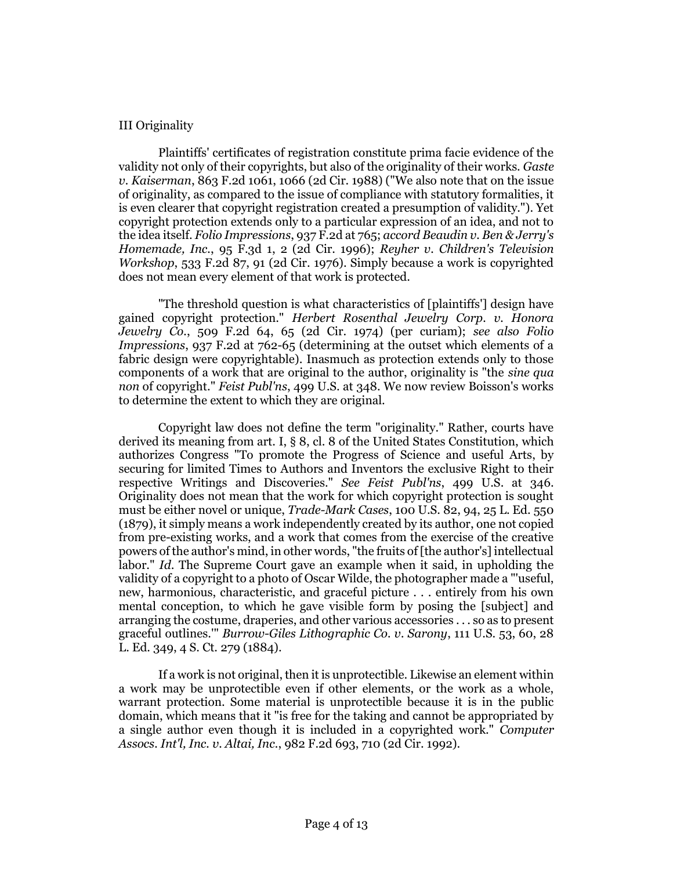# III Originality

Plaintiffs' certificates of registration constitute prima facie evidence of the validity not only of their copyrights, but also of the originality of their works. *Gaste v. Kaiserman*, 863 F.2d 1061, 1066 (2d Cir. 1988) ("We also note that on the issue of originality, as compared to the issue of compliance with statutory formalities, it is even clearer that copyright registration created a presumption of validity."). Yet copyright protection extends only to a particular expression of an idea, and not to the idea itself. *Folio Impressions*, 937 F.2d at 765; *accord Beaudin v. Ben & Jerry's Homemade, Inc.*, 95 F.3d 1, 2 (2d Cir. 1996); *Reyher v. Children's Television Workshop*, 533 F.2d 87, 91 (2d Cir. 1976). Simply because a work is copyrighted does not mean every element of that work is protected.

"The threshold question is what characteristics of [plaintiffs'] design have gained copyright protection." *Herbert Rosenthal Jewelry Corp. v. Honora Jewelry Co.*, 509 F.2d 64, 65 (2d Cir. 1974) (per curiam); *see also Folio Impressions*, 937 F.2d at 762-65 (determining at the outset which elements of a fabric design were copyrightable). Inasmuch as protection extends only to those components of a work that are original to the author, originality is "the *sine qua non* of copyright." *Feist Publ'ns*, 499 U.S. at 348. We now review Boisson's works to determine the extent to which they are original.

Copyright law does not define the term "originality." Rather, courts have derived its meaning from art. I, § 8, cl. 8 of the United States Constitution, which authorizes Congress "To promote the Progress of Science and useful Arts, by securing for limited Times to Authors and Inventors the exclusive Right to their respective Writings and Discoveries." *See Feist Publ'ns*, 499 U.S. at 346. Originality does not mean that the work for which copyright protection is sought must be either novel or unique, *Trade-Mark Cases*, 100 U.S. 82, 94, 25 L. Ed. 550 (1879), it simply means a work independently created by its author, one not copied from pre-existing works, and a work that comes from the exercise of the creative powers of the author's mind, in other words, "the fruits of [the author's] intellectual labor." *Id*. The Supreme Court gave an example when it said, in upholding the validity of a copyright to a photo of Oscar Wilde, the photographer made a "'useful, new, harmonious, characteristic, and graceful picture . . . entirely from his own mental conception, to which he gave visible form by posing the [subject] and arranging the costume, draperies, and other various accessories . . . so as to present graceful outlines.'" *Burrow-Giles Lithographic Co. v. Sarony*, 111 U.S. 53, 60, 28 L. Ed. 349, 4 S. Ct. 279 (1884).

If a work is not original, then it is unprotectible. Likewise an element within a work may be unprotectible even if other elements, or the work as a whole, warrant protection. Some material is unprotectible because it is in the public domain, which means that it "is free for the taking and cannot be appropriated by a single author even though it is included in a copyrighted work." *Computer Assocs. Int'l, Inc. v. Altai, Inc.*, 982 F.2d 693, 710 (2d Cir. 1992).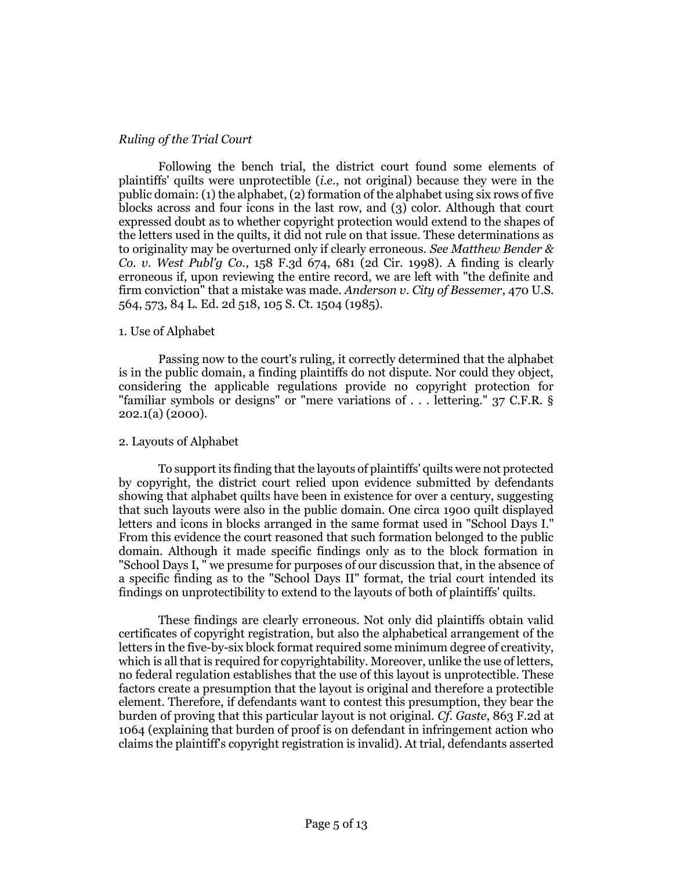### *Ruling of the Trial Court*

Following the bench trial, the district court found some elements of plaintiffs' quilts were unprotectible (*i.e.*, not original) because they were in the public domain: (1) the alphabet, (2) formation of the alphabet using six rows of five blocks across and four icons in the last row, and (3) color. Although that court expressed doubt as to whether copyright protection would extend to the shapes of the letters used in the quilts, it did not rule on that issue. These determinations as to originality may be overturned only if clearly erroneous. *See Matthew Bender & Co. v. West Publ'g Co.*, 158 F.3d 674, 681 (2d Cir. 1998). A finding is clearly erroneous if, upon reviewing the entire record, we are left with "the definite and firm conviction" that a mistake was made. *Anderson v. City of Bessemer*, 470 U.S. 564, 573, 84 L. Ed. 2d 518, 105 S. Ct. 1504 (1985).

#### 1. Use of Alphabet

Passing now to the court's ruling, it correctly determined that the alphabet is in the public domain, a finding plaintiffs do not dispute. Nor could they object, considering the applicable regulations provide no copyright protection for "familiar symbols or designs" or "mere variations of . . . lettering." 37 C.F.R. § 202.1(a) (2000).

### 2. Layouts of Alphabet

To support its finding that the layouts of plaintiffs' quilts were not protected by copyright, the district court relied upon evidence submitted by defendants showing that alphabet quilts have been in existence for over a century, suggesting that such layouts were also in the public domain. One circa 1900 quilt displayed letters and icons in blocks arranged in the same format used in "School Days I." From this evidence the court reasoned that such formation belonged to the public domain. Although it made specific findings only as to the block formation in "School Days I, " we presume for purposes of our discussion that, in the absence of a specific finding as to the "School Days II" format, the trial court intended its findings on unprotectibility to extend to the layouts of both of plaintiffs' quilts.

These findings are clearly erroneous. Not only did plaintiffs obtain valid certificates of copyright registration, but also the alphabetical arrangement of the letters in the five-by-six block format required some minimum degree of creativity, which is all that is required for copyrightability. Moreover, unlike the use of letters, no federal regulation establishes that the use of this layout is unprotectible. These factors create a presumption that the layout is original and therefore a protectible element. Therefore, if defendants want to contest this presumption, they bear the burden of proving that this particular layout is not original. *Cf*. *Gaste*, 863 F.2d at 1064 (explaining that burden of proof is on defendant in infringement action who claims the plaintiff's copyright registration is invalid). At trial, defendants asserted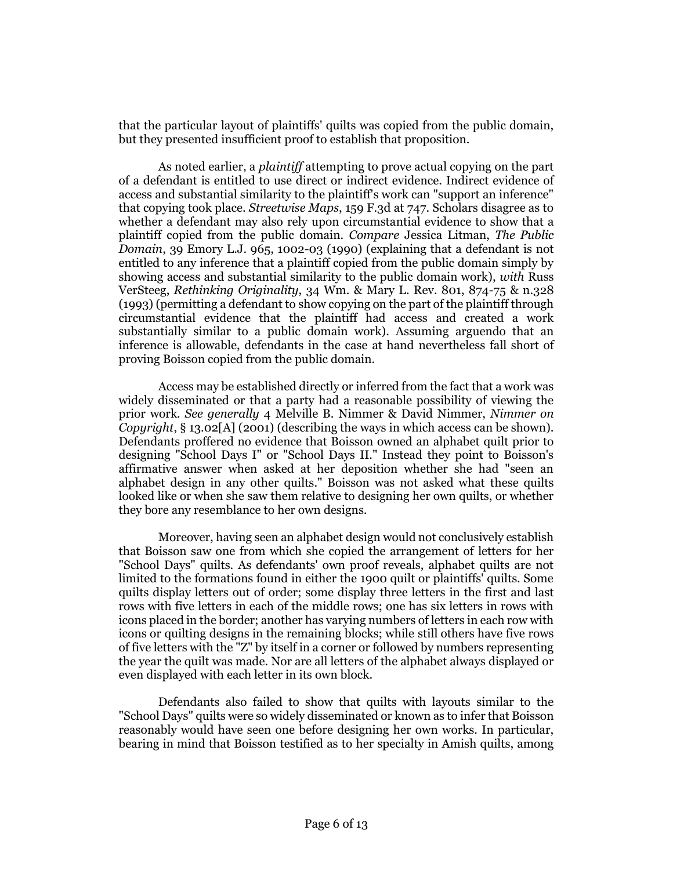that the particular layout of plaintiffs' quilts was copied from the public domain, but they presented insufficient proof to establish that proposition.

As noted earlier, a *plaintiff* attempting to prove actual copying on the part of a defendant is entitled to use direct or indirect evidence. Indirect evidence of access and substantial similarity to the plaintiff's work can "support an inference" that copying took place. *Streetwise Maps*, 159 F.3d at 747. Scholars disagree as to whether a defendant may also rely upon circumstantial evidence to show that a plaintiff copied from the public domain. *Compare* Jessica Litman, *The Public Domain*, 39 Emory L.J. 965, 1002-03 (1990) (explaining that a defendant is not entitled to any inference that a plaintiff copied from the public domain simply by showing access and substantial similarity to the public domain work), *with* Russ VerSteeg, *Rethinking Originality*, 34 Wm. & Mary L. Rev. 801, 874-75 & n.328 (1993) (permitting a defendant to show copying on the part of the plaintiff through circumstantial evidence that the plaintiff had access and created a work substantially similar to a public domain work). Assuming arguendo that an inference is allowable, defendants in the case at hand nevertheless fall short of proving Boisson copied from the public domain.

Access may be established directly or inferred from the fact that a work was widely disseminated or that a party had a reasonable possibility of viewing the prior work. *See generally* 4 Melville B. Nimmer & David Nimmer, *Nimmer on Copyright*, § 13.02[A] (2001) (describing the ways in which access can be shown). Defendants proffered no evidence that Boisson owned an alphabet quilt prior to designing "School Days I" or "School Days II." Instead they point to Boisson's affirmative answer when asked at her deposition whether she had "seen an alphabet design in any other quilts." Boisson was not asked what these quilts looked like or when she saw them relative to designing her own quilts, or whether they bore any resemblance to her own designs.

Moreover, having seen an alphabet design would not conclusively establish that Boisson saw one from which she copied the arrangement of letters for her "School Days" quilts. As defendants' own proof reveals, alphabet quilts are not limited to the formations found in either the 1900 quilt or plaintiffs' quilts. Some quilts display letters out of order; some display three letters in the first and last rows with five letters in each of the middle rows; one has six letters in rows with icons placed in the border; another has varying numbers of letters in each row with icons or quilting designs in the remaining blocks; while still others have five rows of five letters with the "Z" by itself in a corner or followed by numbers representing the year the quilt was made. Nor are all letters of the alphabet always displayed or even displayed with each letter in its own block.

Defendants also failed to show that quilts with layouts similar to the "School Days" quilts were so widely disseminated or known as to infer that Boisson reasonably would have seen one before designing her own works. In particular, bearing in mind that Boisson testified as to her specialty in Amish quilts, among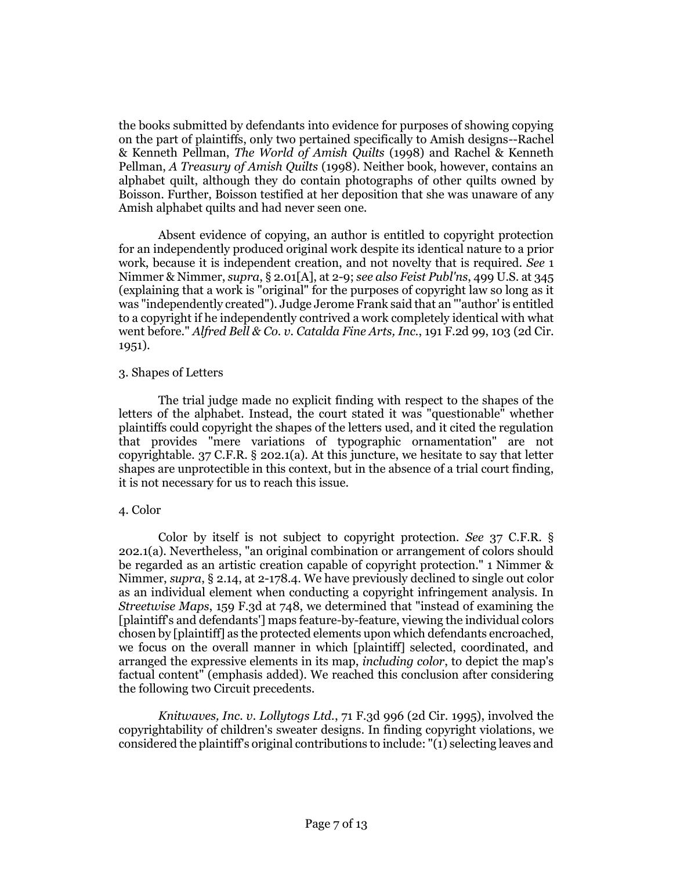the books submitted by defendants into evidence for purposes of showing copying on the part of plaintiffs, only two pertained specifically to Amish designs--Rachel & Kenneth Pellman, *The World of Amish Quilts* (1998) and Rachel & Kenneth Pellman, *A Treasury of Amish Quilts* (1998). Neither book, however, contains an alphabet quilt, although they do contain photographs of other quilts owned by Boisson. Further, Boisson testified at her deposition that she was unaware of any Amish alphabet quilts and had never seen one.

Absent evidence of copying, an author is entitled to copyright protection for an independently produced original work despite its identical nature to a prior work, because it is independent creation, and not novelty that is required. *See* 1 Nimmer & Nimmer, *supra*, § 2.01[A], at 2-9; *see also Feist Publ'ns*, 499 U.S. at 345 (explaining that a work is "original" for the purposes of copyright law so long as it was "independently created"). Judge Jerome Frank said that an "'author' is entitled to a copyright if he independently contrived a work completely identical with what went before." *Alfred Bell & Co. v. Catalda Fine Arts, Inc.*, 191 F.2d 99, 103 (2d Cir. 1951).

### 3. Shapes of Letters

The trial judge made no explicit finding with respect to the shapes of the letters of the alphabet. Instead, the court stated it was "questionable" whether plaintiffs could copyright the shapes of the letters used, and it cited the regulation that provides "mere variations of typographic ornamentation" are not copyrightable. 37 C.F.R. § 202.1(a). At this juncture, we hesitate to say that letter shapes are unprotectible in this context, but in the absence of a trial court finding, it is not necessary for us to reach this issue.

### 4. Color

Color by itself is not subject to copyright protection. *See* 37 C.F.R. § 202.1(a). Nevertheless, "an original combination or arrangement of colors should be regarded as an artistic creation capable of copyright protection." 1 Nimmer & Nimmer, *supra*, § 2.14, at 2-178.4. We have previously declined to single out color as an individual element when conducting a copyright infringement analysis. In *Streetwise Maps*, 159 F.3d at 748, we determined that "instead of examining the [plaintiff's and defendants'] maps feature-by-feature, viewing the individual colors chosen by [plaintiff] as the protected elements upon which defendants encroached, we focus on the overall manner in which [plaintiff] selected, coordinated, and arranged the expressive elements in its map, *including color*, to depict the map's factual content" (emphasis added). We reached this conclusion after considering the following two Circuit precedents.

*Knitwaves, Inc. v. Lollytogs Ltd.*, 71 F.3d 996 (2d Cir. 1995), involved the copyrightability of children's sweater designs. In finding copyright violations, we considered the plaintiff's original contributions to include: "(1) selecting leaves and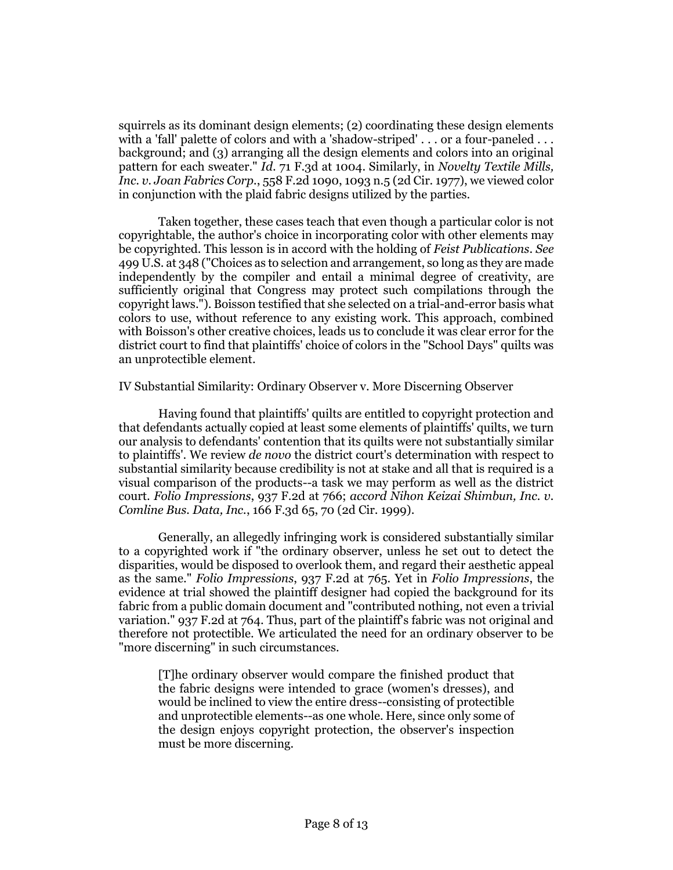squirrels as its dominant design elements; (2) coordinating these design elements with a 'fall' palette of colors and with a 'shadow-striped' . . . or a four-paneled . . . background; and (3) arranging all the design elements and colors into an original pattern for each sweater." *Id*. 71 F.3d at 1004. Similarly, in *Novelty Textile Mills, Inc. v. Joan Fabrics Corp.*, 558 F.2d 1090, 1093 n.5 (2d Cir. 1977), we viewed color in conjunction with the plaid fabric designs utilized by the parties.

Taken together, these cases teach that even though a particular color is not copyrightable, the author's choice in incorporating color with other elements may be copyrighted. This lesson is in accord with the holding of *Feist Publications*. *See* 499 U.S. at 348 ("Choices as to selection and arrangement, so long as they are made independently by the compiler and entail a minimal degree of creativity, are sufficiently original that Congress may protect such compilations through the copyright laws."). Boisson testified that she selected on a trial-and-error basis what colors to use, without reference to any existing work. This approach, combined with Boisson's other creative choices, leads us to conclude it was clear error for the district court to find that plaintiffs' choice of colors in the "School Days" quilts was an unprotectible element.

IV Substantial Similarity: Ordinary Observer v. More Discerning Observer

Having found that plaintiffs' quilts are entitled to copyright protection and that defendants actually copied at least some elements of plaintiffs' quilts, we turn our analysis to defendants' contention that its quilts were not substantially similar to plaintiffs'. We review *de novo* the district court's determination with respect to substantial similarity because credibility is not at stake and all that is required is a visual comparison of the products--a task we may perform as well as the district court. *Folio Impressions*, 937 F.2d at 766; *accord Nihon Keizai Shimbun, Inc. v. Comline Bus. Data, Inc.*, 166 F.3d 65, 70 (2d Cir. 1999).

Generally, an allegedly infringing work is considered substantially similar to a copyrighted work if "the ordinary observer, unless he set out to detect the disparities, would be disposed to overlook them, and regard their aesthetic appeal as the same." *Folio Impressions*, 937 F.2d at 765. Yet in *Folio Impressions*, the evidence at trial showed the plaintiff designer had copied the background for its fabric from a public domain document and "contributed nothing, not even a trivial variation." 937 F.2d at 764. Thus, part of the plaintiff's fabric was not original and therefore not protectible. We articulated the need for an ordinary observer to be "more discerning" in such circumstances.

[T]he ordinary observer would compare the finished product that the fabric designs were intended to grace (women's dresses), and would be inclined to view the entire dress--consisting of protectible and unprotectible elements--as one whole. Here, since only some of the design enjoys copyright protection, the observer's inspection must be more discerning.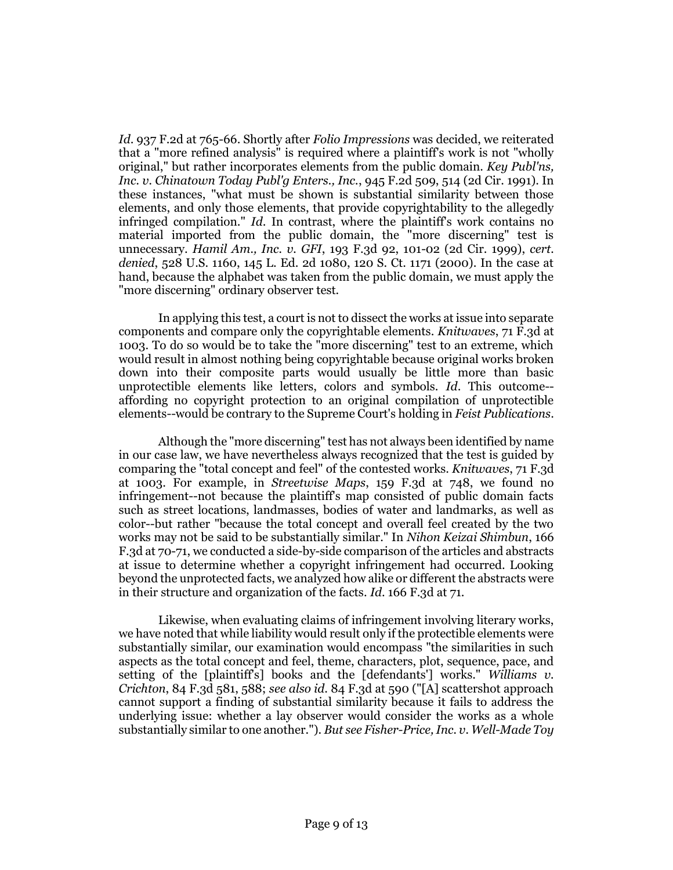*Id*. 937 F.2d at 765-66. Shortly after *Folio Impressions* was decided, we reiterated that a "more refined analysis" is required where a plaintiff's work is not "wholly original," but rather incorporates elements from the public domain. *Key Publ'ns, Inc. v. Chinatown Today Publ'g Enters., Inc.*, 945 F.2d 509, 514 (2d Cir. 1991). In these instances, "what must be shown is substantial similarity between those elements, and only those elements, that provide copyrightability to the allegedly infringed compilation." *Id*. In contrast, where the plaintiff's work contains no material imported from the public domain, the "more discerning" test is unnecessary. *Hamil Am., Inc. v. GFI*, 193 F.3d 92, 101-02 (2d Cir. 1999), *cert. denied*, 528 U.S. 1160, 145 L. Ed. 2d 1080, 120 S. Ct. 1171 (2000). In the case at hand, because the alphabet was taken from the public domain, we must apply the "more discerning" ordinary observer test.

In applying this test, a court is not to dissect the works at issue into separate components and compare only the copyrightable elements. *Knitwaves*, 71 F.3d at 1003. To do so would be to take the "more discerning" test to an extreme, which would result in almost nothing being copyrightable because original works broken down into their composite parts would usually be little more than basic unprotectible elements like letters, colors and symbols. *Id*. This outcome- affording no copyright protection to an original compilation of unprotectible elements--would be contrary to the Supreme Court's holding in *Feist Publications*.

Although the "more discerning" test has not always been identified by name in our case law, we have nevertheless always recognized that the test is guided by comparing the "total concept and feel" of the contested works. *Knitwaves*, 71 F.3d at 1003. For example, in *Streetwise Maps*, 159 F.3d at 748, we found no infringement--not because the plaintiff's map consisted of public domain facts such as street locations, landmasses, bodies of water and landmarks, as well as color--but rather "because the total concept and overall feel created by the two works may not be said to be substantially similar." In *Nihon Keizai Shimbun*, 166 F.3d at 70-71, we conducted a side-by-side comparison of the articles and abstracts at issue to determine whether a copyright infringement had occurred. Looking beyond the unprotected facts, we analyzed how alike or different the abstracts were in their structure and organization of the facts. *Id*. 166 F.3d at 71.

Likewise, when evaluating claims of infringement involving literary works, we have noted that while liability would result only if the protectible elements were substantially similar, our examination would encompass "the similarities in such aspects as the total concept and feel, theme, characters, plot, sequence, pace, and setting of the [plaintiff's] books and the [defendants'] works." *Williams v. Crichton*, 84 F.3d 581, 588; *see also id*. 84 F.3d at 590 ("[A] scattershot approach cannot support a finding of substantial similarity because it fails to address the underlying issue: whether a lay observer would consider the works as a whole substantially similar to one another."). *But see Fisher-Price, Inc. v. Well-Made Toy*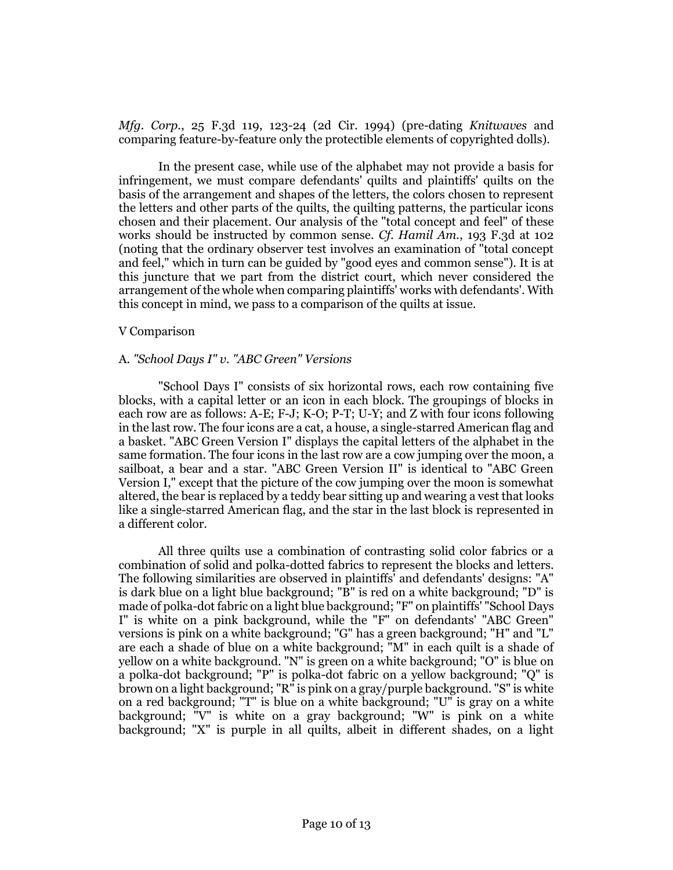*Mfg. Corp.*, 25 F.3d 119, 123-24 (2d Cir. 1994) (pre-dating *Knitwaves* and comparing feature-by-feature only the protectible elements of copyrighted dolls).

In the present case, while use of the alphabet may not provide a basis for infringement, we must compare defendants' quilts and plaintiffs' quilts on the basis of the arrangement and shapes of the letters, the colors chosen to represent the letters and other parts of the quilts, the quilting patterns, the particular icons chosen and their placement. Our analysis of the "total concept and feel" of these works should be instructed by common sense. *Cf*. *Hamil Am.*, 193 F.3d at 102 (noting that the ordinary observer test involves an examination of "total concept and feel," which in turn can be guided by "good eyes and common sense"). It is at this juncture that we part from the district court, which never considered the arrangement of the whole when comparing plaintiffs' works with defendants'. With this concept in mind, we pass to a comparison of the quilts at issue.

#### V Comparison

### A. *"School Days I" v. "ABC Green" Versions*

"School Days I" consists of six horizontal rows, each row containing five blocks, with a capital letter or an icon in each block. The groupings of blocks in each row are as follows: A-E; F-J; K-O; P-T; U-Y; and Z with four icons following in the last row. The four icons are a cat, a house, a single-starred American flag and a basket. "ABC Green Version I" displays the capital letters of the alphabet in the same formation. The four icons in the last row are a cow jumping over the moon, a sailboat, a bear and a star. "ABC Green Version II" is identical to "ABC Green Version I," except that the picture of the cow jumping over the moon is somewhat altered, the bear is replaced by a teddy bear sitting up and wearing a vest that looks like a single-starred American flag, and the star in the last block is represented in a different color.

All three quilts use a combination of contrasting solid color fabrics or a combination of solid and polka-dotted fabrics to represent the blocks and letters. The following similarities are observed in plaintiffs' and defendants' designs: "A" is dark blue on a light blue background; "B" is red on a white background; "D" is made of polka-dot fabric on a light blue background; "F" on plaintiffs' "School Days I" is white on a pink background, while the "F" on defendants' "ABC Green" versions is pink on a white background; "G" has a green background; "H" and "L" are each a shade of blue on a white background; "M" in each quilt is a shade of yellow on a white background. "N" is green on a white background; "O" is blue on a polka-dot background; "P" is polka-dot fabric on a yellow background; "Q" is brown on a light background; "R" is pink on a gray/purple background. "S" is white on a red background; "T" is blue on a white background; "U" is gray on a white background; "V" is white on a gray background; "W" is pink on a white background; "X" is purple in all quilts, albeit in different shades, on a light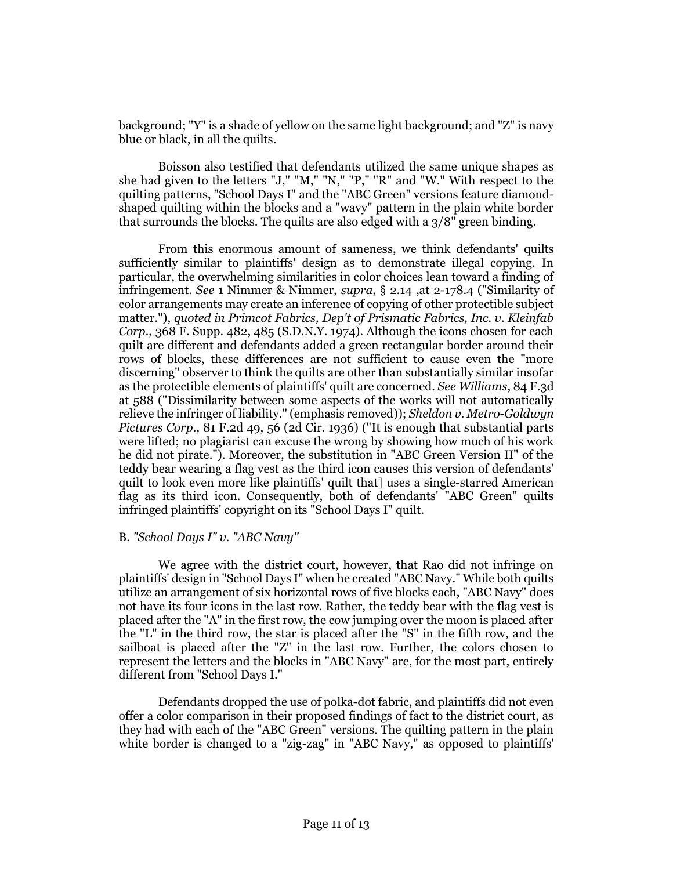background; "Y" is a shade of yellow on the same light background; and "Z" is navy blue or black, in all the quilts.

Boisson also testified that defendants utilized the same unique shapes as she had given to the letters "J," "M," "N," "P," "R" and "W." With respect to the quilting patterns, "School Days I" and the "ABC Green" versions feature diamondshaped quilting within the blocks and a "wavy" pattern in the plain white border that surrounds the blocks. The quilts are also edged with a 3/8" green binding.

From this enormous amount of sameness, we think defendants' quilts sufficiently similar to plaintiffs' design as to demonstrate illegal copying. In particular, the overwhelming similarities in color choices lean toward a finding of infringement. *See* 1 Nimmer & Nimmer, *supra*, § 2.14 ,at 2-178.4 ("Similarity of color arrangements may create an inference of copying of other protectible subject matter."), *quoted in Primcot Fabrics, Dep't of Prismatic Fabrics, Inc. v. Kleinfab Corp.*, 368 F. Supp. 482, 485 (S.D.N.Y. 1974). Although the icons chosen for each quilt are different and defendants added a green rectangular border around their rows of blocks, these differences are not sufficient to cause even the "more discerning" observer to think the quilts are other than substantially similar insofar as the protectible elements of plaintiffs' quilt are concerned. *See Williams*, 84 F.3d at 588 ("Dissimilarity between some aspects of the works will not automatically relieve the infringer of liability." (emphasis removed)); *Sheldon v. Metro-Goldwyn Pictures Corp.*, 81 F.2d 49, 56 (2d Cir. 1936) ("It is enough that substantial parts were lifted; no plagiarist can excuse the wrong by showing how much of his work he did not pirate."). Moreover, the substitution in "ABC Green Version II" of the teddy bear wearing a flag vest as the third icon causes this version of defendants' quilt to look even more like plaintiffs' quilt that] uses a single-starred American flag as its third icon. Consequently, both of defendants' "ABC Green" quilts infringed plaintiffs' copyright on its "School Days I" quilt.

### B. *"School Days I" v. "ABC Navy"*

We agree with the district court, however, that Rao did not infringe on plaintiffs' design in "School Days I" when he created "ABC Navy." While both quilts utilize an arrangement of six horizontal rows of five blocks each, "ABC Navy" does not have its four icons in the last row. Rather, the teddy bear with the flag vest is placed after the "A" in the first row, the cow jumping over the moon is placed after the "L" in the third row, the star is placed after the "S" in the fifth row, and the sailboat is placed after the "Z" in the last row. Further, the colors chosen to represent the letters and the blocks in "ABC Navy" are, for the most part, entirely different from "School Days I."

Defendants dropped the use of polka-dot fabric, and plaintiffs did not even offer a color comparison in their proposed findings of fact to the district court, as they had with each of the "ABC Green" versions. The quilting pattern in the plain white border is changed to a "zig-zag" in "ABC Navy," as opposed to plaintiffs'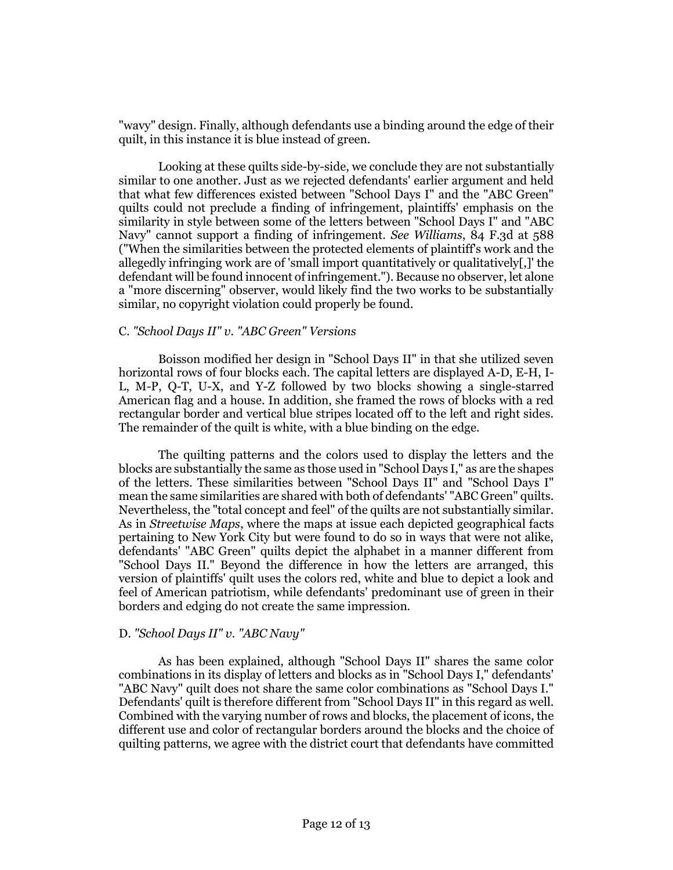"wavy" design. Finally, although defendants use a binding around the edge of their quilt, in this instance it is blue instead of green.

Looking at these quilts side-by-side, we conclude they are not substantially similar to one another. Just as we rejected defendants' earlier argument and held that what few differences existed between "School Days I" and the "ABC Green" quilts could not preclude a finding of infringement, plaintiffs' emphasis on the similarity in style between some of the letters between "School Days I" and "ABC Navy" cannot support a finding of infringement. *See Williams*, 84 F.3d at 588 ("When the similarities between the protected elements of plaintiff's work and the allegedly infringing work are of 'small import quantitatively or qualitatively[,]' the defendant will be found innocent of infringement."). Because no observer, let alone a "more discerning" observer, would likely find the two works to be substantially similar, no copyright violation could properly be found.

#### C. *"School Days II" v. "ABC Green" Versions*

Boisson modified her design in "School Days II" in that she utilized seven horizontal rows of four blocks each. The capital letters are displayed A-D, E-H, I-L, M-P, Q-T, U-X, and Y-Z followed by two blocks showing a single-starred American flag and a house. In addition, she framed the rows of blocks with a red rectangular border and vertical blue stripes located off to the left and right sides. The remainder of the quilt is white, with a blue binding on the edge.

The quilting patterns and the colors used to display the letters and the blocks are substantially the same as those used in "School Days I," as are the shapes of the letters. These similarities between "School Days II" and "School Days I" mean the same similarities are shared with both of defendants' "ABC Green" quilts. Nevertheless, the "total concept and feel" of the quilts are not substantially similar. As in *Streetwise Maps*, where the maps at issue each depicted geographical facts pertaining to New York City but were found to do so in ways that were not alike, defendants' "ABC Green" quilts depict the alphabet in a manner different from "School Days II." Beyond the difference in how the letters are arranged, this version of plaintiffs' quilt uses the colors red, white and blue to depict a look and feel of American patriotism, while defendants' predominant use of green in their borders and edging do not create the same impression.

### D. *"School Days II" v. "ABC Navy"*

As has been explained, although "School Days II" shares the same color combinations in its display of letters and blocks as in "School Days I," defendants' "ABC Navy" quilt does not share the same color combinations as "School Days I." Defendants' quilt is therefore different from "School Days II" in this regard as well. Combined with the varying number of rows and blocks, the placement of icons, the different use and color of rectangular borders around the blocks and the choice of quilting patterns, we agree with the district court that defendants have committed